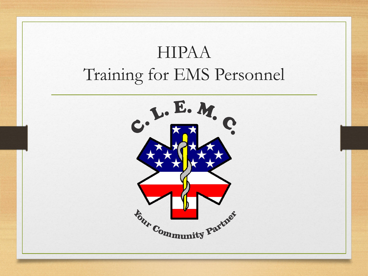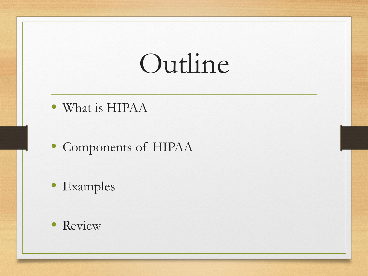# Outline

- What is HIPAA
- Components of HIPAA
- Examples
- Review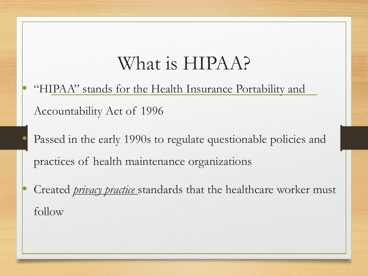#### What is HIPAA?

• "HIPAA" stands for the Health Insurance Portability and Accountability Act of 1996

Passed in the early 1990s to regulate questionable policies and practices of health maintenance organizations

• Created *privacy practice* standards that the healthcare worker must follow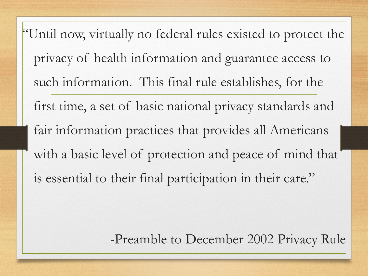"Until now, virtually no federal rules existed to protect the privacy of health information and guarantee access to such information. This final rule establishes, for the first time, a set of basic national privacy standards and fair information practices that provides all Americans with a basic level of protection and peace of mind that is essential to their final participation in their care."

-Preamble to December 2002 Privacy Rule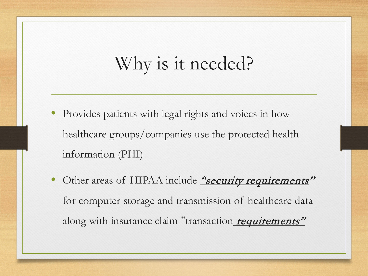### Why is it needed?

- Provides patients with legal rights and voices in how healthcare groups/companies use the protected health information (PHI)
- Other areas of HIPAA include "security requirements" for computer storage and transmission of healthcare data along with insurance claim "transaction requirements"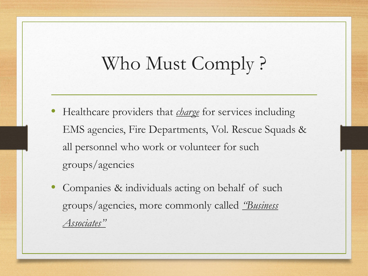### Who Must Comply ?

- Healthcare providers that *charge* for services including EMS agencies, Fire Departments, Vol. Rescue Squads & all personnel who work or volunteer for such groups/agencies
- Companies & individuals acting on behalf of such groups/agencies, more commonly called *"Business Associates"*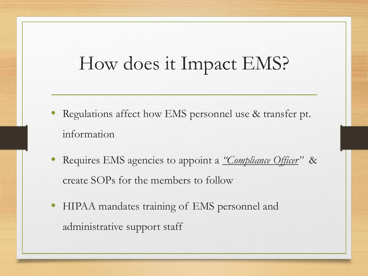#### How does it Impact EMS?

- Regulations affect how EMS personnel use & transfer pt. information
- Requires EMS agencies to appoint a *"Compliance Officer"* & create SOPs for the members to follow
- HIPAA mandates training of EMS personnel and administrative support staff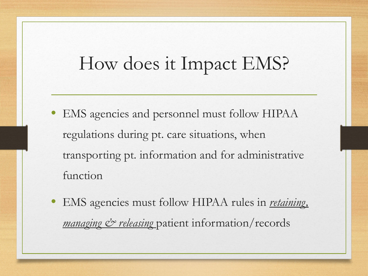#### How does it Impact EMS?

- EMS agencies and personnel must follow HIPAA regulations during pt. care situations, when transporting pt. information and for administrative function
- EMS agencies must follow HIPAA rules in *retaining, managing & releasing* patient information/records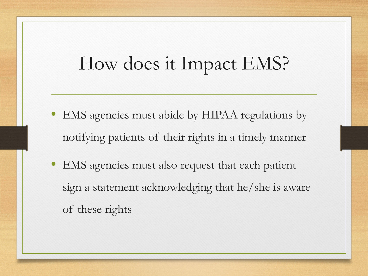#### How does it Impact EMS?

- EMS agencies must abide by HIPAA regulations by notifying patients of their rights in a timely manner
- EMS agencies must also request that each patient sign a statement acknowledging that he/she is aware of these rights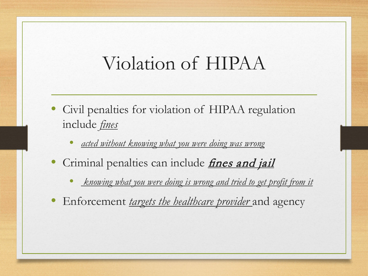#### Violation of HIPAA

- Civil penalties for violation of HIPAA regulation include *fines*
	- *acted without knowing what you were doing was wrong*
- Criminal penalties can include *fines and jail* 
	- *knowing what you were doing is wrong and tried to get profit from it*
- Enforcement *targets the healthcare provider* and agency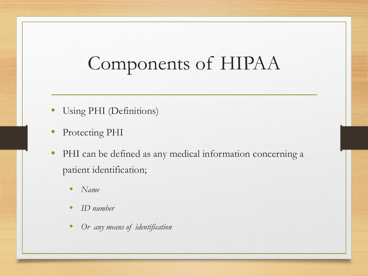#### Components of HIPAA

- Using PHI (Definitions)
- Protecting PHI
- PHI can be defined as any medical information concerning a patient identification;
	- *Name*
	- *ID number*
	- *Or any means of identification*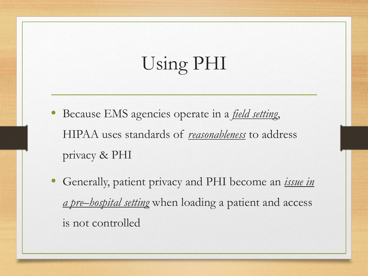# Using PHI

- Because EMS agencies operate in a *field setting*, HIPAA uses standards of *reasonableness* to address privacy & PHI
- Generally, patient privacy and PHI become an *issue in a pre–hospital setting* when loading a patient and access is not controlled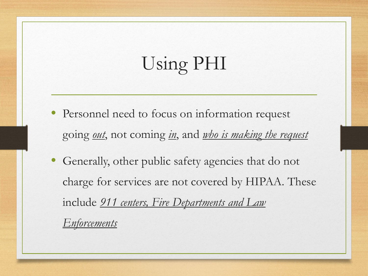# Using PHI

- Personnel need to focus on information request going *out*, not coming *in*, and *who is making the request*
- Generally, other public safety agencies that do not charge for services are not covered by HIPAA. These include *911 centers, Fire Departments and Law Enforcements*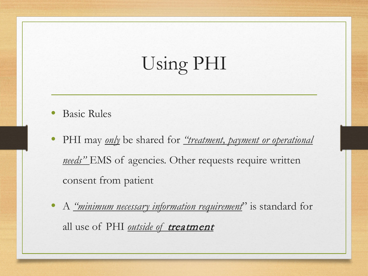# Using PHI

- Basic Rules
- PHI may *only* be shared for *"treatment, payment or operational needs"* EMS of agencies. Other requests require written consent from patient
- A *"minimum necessary information requirement*" is standard for all use of PHI *outside of treatment*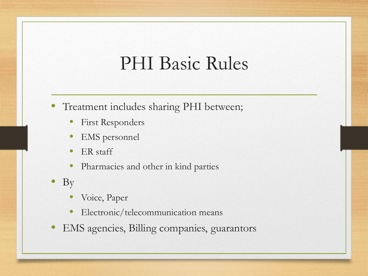- Treatment includes sharing PHI between;
	- First Responders
	- **EMS** personnel
	- ER staff
	- Pharmacies and other in kind parties
- By
	- Voice, Paper
	- Electronic/telecommunication means
- EMS agencies, Billing companies, guarantors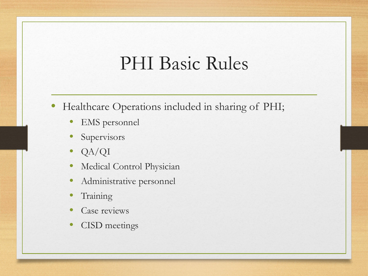- Healthcare Operations included in sharing of PHI;
	- **EMS** personnel
	- **Supervisors**
	- QA/QI
	- Medical Control Physician
	- Administrative personnel
	- **Training**
	- Case reviews
	- CISD meetings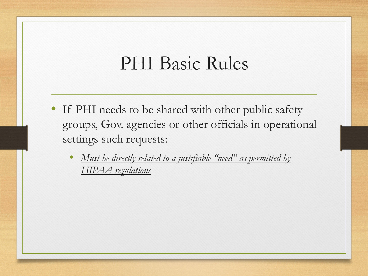- If PHI needs to be shared with other public safety groups, Gov. agencies or other officials in operational settings such requests:
	- *Must be directly related to a justifiable "need" as permitted by HIPAA regulations*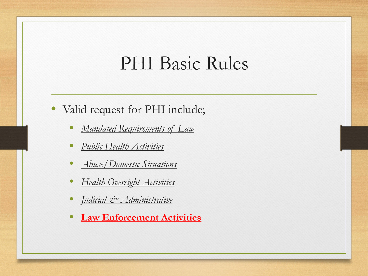- Valid request for PHI include;
	- *Mandated Requirements of Law*
	- *Public Health Activities*
	- *Abuse/Domestic Situations*
	- *Health Oversight Activities*
	- *Judicial & Administrative*
	- **Law Enforcement Activities**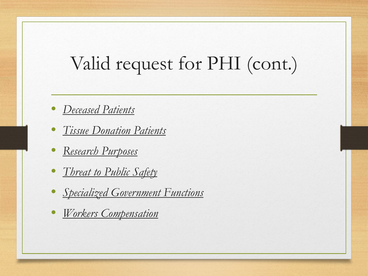### Valid request for PHI (cont.)

- *Deceased Patients*
- *Tissue Donation Patients*
- *Research Purposes*
- *Threat to Public Safety*
- *Specialized Government Functions*
- *Workers Compensation*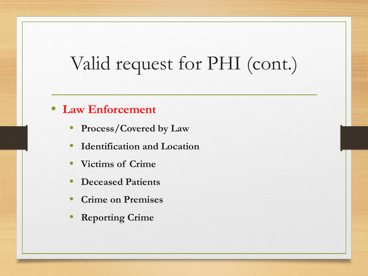### Valid request for PHI (cont.)

#### • **Law Enforcement**

- **Process/Covered by Law**
- **Identification and Location**
- **Victims of Crime**
- **Deceased Patients**
- **Crime on Premises**
- **Reporting Crime**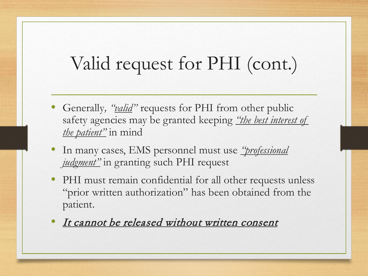## Valid request for PHI (cont.)

- Generally*, "valid"* requests for PHI from other public safety agencies may be granted keeping *"the best interest of the patient"* in mind
- In many cases, EMS personnel must use *"professional judgment"* in granting such PHI request
- PHI must remain confidential for all other requests unless "prior written authorization" has been obtained from the patient.
- It cannot be released without written consent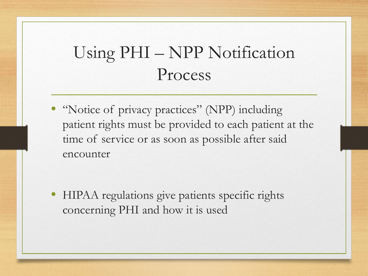#### Using PHI – NPP Notification Process

• "Notice of privacy practices" (NPP) including patient rights must be provided to each patient at the time of service or as soon as possible after said encounter

• HIPAA regulations give patients specific rights concerning PHI and how it is used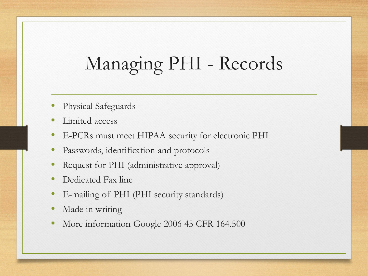# Managing PHI - Records

- Physical Safeguards
- Limited access
- E-PCRs must meet HIPAA security for electronic PHI
- Passwords, identification and protocols
- Request for PHI (administrative approval)
- Dedicated Fax line
- E-mailing of PHI (PHI security standards)
- Made in writing
- More information Google 2006 45 CFR 164.500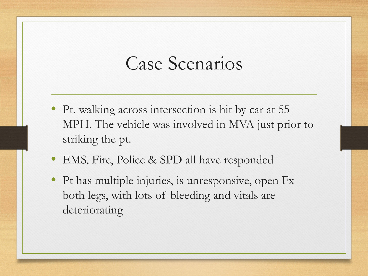#### Case Scenarios

- Pt. walking across intersection is hit by car at 55 MPH. The vehicle was involved in MVA just prior to striking the pt.
- EMS, Fire, Police & SPD all have responded
- Pt has multiple injuries, is unresponsive, open Fx both legs, with lots of bleeding and vitals are deteriorating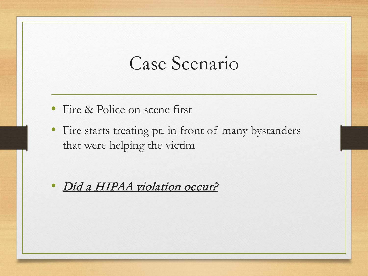#### Case Scenario

- Fire & Police on scene first
- Fire starts treating pt. in front of many bystanders that were helping the victim

Did a HIPAA violation occur?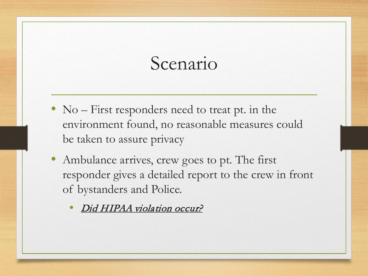#### Scenario

- No First responders need to treat pt. in the environment found, no reasonable measures could be taken to assure privacy
- Ambulance arrives, crew goes to pt. The first responder gives a detailed report to the crew in front of bystanders and Police.
	- Did HIPAA violation occur?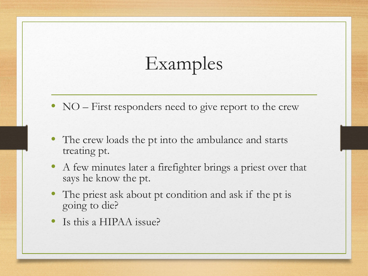- NO First responders need to give report to the crew
- The crew loads the pt into the ambulance and starts treating pt.
- A few minutes later a firefighter brings a priest over that says he know the pt.
- The priest ask about pt condition and ask if the pt is going to die?
- Is this a HIPAA issue?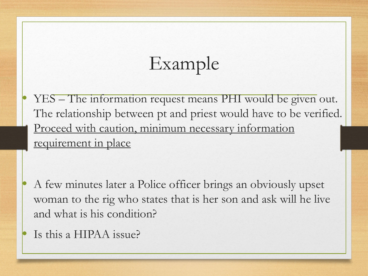• YES – The information request means PHI would be given out. The relationship between pt and priest would have to be verified. Proceed with caution, minimum necessary information requirement in place

• A few minutes later a Police officer brings an obviously upset woman to the rig who states that is her son and ask will he live and what is his condition?

Is this a HIPAA issue?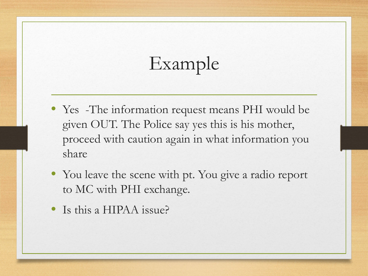- Yes -The information request means PHI would be given OUT. The Police say yes this is his mother, proceed with caution again in what information you share
- You leave the scene with pt. You give a radio report to MC with PHI exchange.
- Is this a HIPAA issue?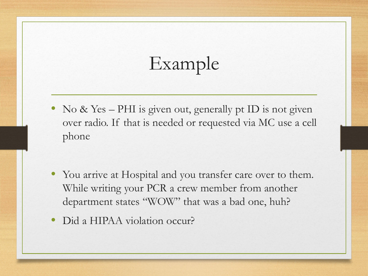- No & Yes PHI is given out, generally pt ID is not given over radio. If that is needed or requested via MC use a cell phone
- You arrive at Hospital and you transfer care over to them. While writing your PCR a crew member from another department states "WOW" that was a bad one, huh?
- Did a HIPAA violation occur?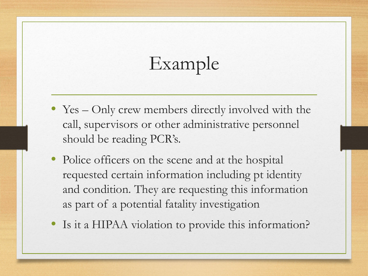- Yes Only crew members directly involved with the call, supervisors or other administrative personnel should be reading PCR's.
- Police officers on the scene and at the hospital requested certain information including pt identity and condition. They are requesting this information as part of a potential fatality investigation
- Is it a HIPAA violation to provide this information?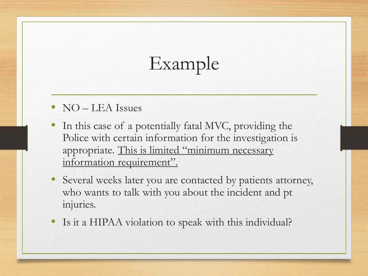- NO LEA Issues
- In this case of a potentially fatal MVC, providing the Police with certain information for the investigation is appropriate. This is limited "minimum necessary information requirement".
- Several weeks later you are contacted by patients attorney, who wants to talk with you about the incident and pt injuries.
- Is it a HIPAA violation to speak with this individual?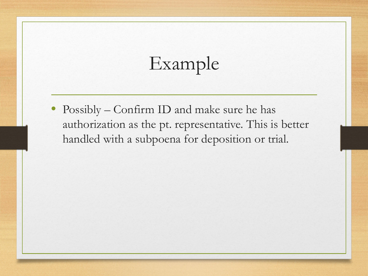• Possibly – Confirm ID and make sure he has authorization as the pt. representative. This is better handled with a subpoena for deposition or trial.